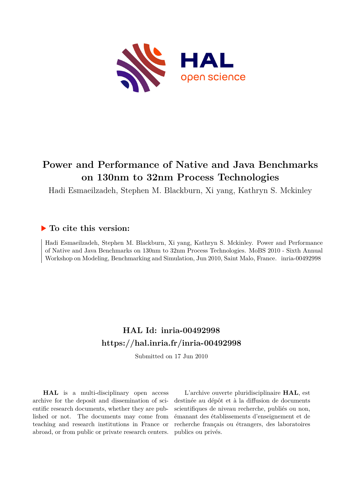

# **Power and Performance of Native and Java Benchmarks on 130nm to 32nm Process Technologies**

Hadi Esmaeilzadeh, Stephen M. Blackburn, Xi yang, Kathryn S. Mckinley

## **To cite this version:**

Hadi Esmaeilzadeh, Stephen M. Blackburn, Xi yang, Kathryn S. Mckinley. Power and Performance of Native and Java Benchmarks on 130nm to 32nm Process Technologies. MoBS 2010 - Sixth Annual Workshop on Modeling, Benchmarking and Simulation, Jun 2010, Saint Malo, France. inria-00492998

## **HAL Id: inria-00492998 <https://hal.inria.fr/inria-00492998>**

Submitted on 17 Jun 2010

**HAL** is a multi-disciplinary open access archive for the deposit and dissemination of scientific research documents, whether they are published or not. The documents may come from teaching and research institutions in France or abroad, or from public or private research centers.

L'archive ouverte pluridisciplinaire **HAL**, est destinée au dépôt et à la diffusion de documents scientifiques de niveau recherche, publiés ou non, émanant des établissements d'enseignement et de recherche français ou étrangers, des laboratoires publics ou privés.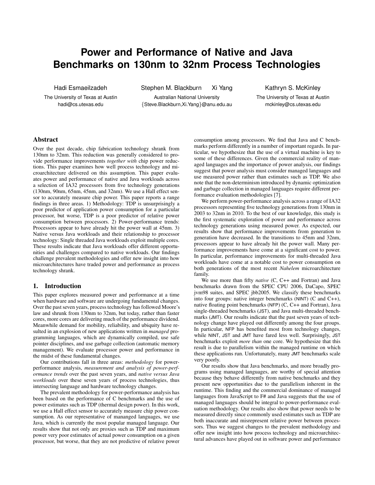## **Power and Performance of Native and Java Benchmarks on 130nm to 32nm Process Technologies**

Hadi Esmaeilzadeh

The University of Texas at Austin hadi@cs.utexas.edu

Stephen M. Blackburn Xi Yang

Australian National University {Steve.Blackburn,Xi.Yang}@anu.edu.au Kathryn S. McKinley

The University of Texas at Austin mckinley@cs.utexas.edu

## Abstract

Over the past decade, chip fabrication technology shrank from 130nm to 32nm. This reduction was generally considered to provide performance improvements *together with* chip power reductions. This paper examines how well process technology and microarchitecture delivered on this assumption. This paper evaluates power and performance of native and Java workloads across a selection of IA32 processors from five technology generations (130nm, 90nm, 65nm, 45nm, and 32nm). We use a Hall effect sensor to accurately measure chip power. This paper reports a range findings in three areas. 1) Methodology: TDP is unsurprisingly a poor predictor of application power consumption for a particular processor, but worse, TDP is a poor predictor of relative power consumption between processors. 2) Power-performance trends: Processors appear to have already hit the power wall at 45nm. 3) Native versus Java workloads and their relationship to processor technology: Single threaded Java workloads exploit multiple cores. These results indicate that Java workloads offer different opportunities and challenges compared to native workloads. Our findings challenge prevalent methodologies and offer new insight into how microarchitectures have traded power and performance as process technology shrank.

#### 1. Introduction

This paper explores measured power and performance at a time when hardware and software are undergoing fundamental changes. Over the past seven years, process technology has followed Moore's law and shrunk from 130nm to 32nm, but today, rather than faster cores, more cores are delivering much of the performance dividend. Meanwhile demand for mobility, reliability, and ubiquity have resulted in an explosion of new applications written in *managed* programming languages, which are dynamically compiled, use safe pointer disciplines, and use garbage collection (automatic memory management). We evaluate processor power and performance in the midst of these fundamental changes.

Our contributions fall in three areas: *methodology* for powerperformance analysis, *measurement and analysis of power-performance trends* over the past seven years, and *native versus Java workloads* over these seven years of process technologies, thus intersecting language and hardware technology changes.

The prevalent methodology for power-performance analysis has been based on the performance of C benchmarks and the use of power estimates such as TDP (thermal design power). In this work, we use a Hall effect sensor to accurately measure chip power consumption. As our representative of mananged languages, we use Java, which is currently the most popular managed language. Our results show that not only are proxies such as TDP and maximum power very poor estimates of actual power consumption on a given processor, but worse, that they are not predictive of relative power consumption among processors. We find that Java and C benchmarks perform differently in a number of important regards. In particular, we hypothesize that the use of a virtual machine is key to some of these differences. Given the commercial reality of managed languages and the importance of power analysis, our findings suggest that power analysis must consider managed languages and use measured power rather than estimates such as TDP. We also note that the non-determinism introduced by dynamic optimization and garbage collection in managed languages require different performance evaluation methodologies [7].

We perform power-performance analysis across a range of IA32 processors representing five technology generations from 130nm in 2003 to 32nm in 2010. To the best of our knowledge, this study is the first systematic exploration of power and performance across technology generations using measured power. As expected, our results show that performance improvements from generation to generation have decreased. In the transitions to 45nm and 32nm, processors appear to have already hit the power wall. Many performance improvements have come at a significant cost to power. In particular, performance improvements for multi-threaded Java workloads have come at a notable cost to power consumption on both generations of the most recent *Nahelem* microarchitecture family.

We use more than fifty *native* (C, C++ and Fortran) and Java benchmarks drawn from the SPEC CPU 2006, DaCapo, SPEC jvm98 suites, and SPEC jbb2005. We classify these benchmarks into four groups: native integer benchmarks (NINT) (C and C++), native floating point benchmarks (NFP) (C, C++ and Fortran), Java single-threaded benchmarks (JST), and Java multi-threaded benchmarks (JMT). Our results indicate that the past seven years of technology change have played out differently among the four groups. In particular, NFP has benefited most from technology changes, while NINT, JST and JMT have fared less well. Surprisingly, JST benchmarks exploit *more than* one core. We hypothesize that this result is due to parallelism within the managed runtime on which these applications run. Unfortunately, many JMT benchmarks scale very poorly.

Our results show that Java benchmarks, and more broadly programs using managed languages, are worthy of special attention because they behave differently from native benchmarks and they present new opportunities due to the parallelism inherent in the runtime. This finding and the commercial dominance of managed languages from JavaScript to F# and Java suggests that the use of managed languages should be integral to power-performance evaluation methodology. Our results also show that power needs to be measured directly since commonly used estimates such as TDP are both inaccurate and misrepresent relative power between processors. Thus we suggest changes to the prevalent methodology and offer new insight into how process technology and microarchitectural advances have played out in software power and performance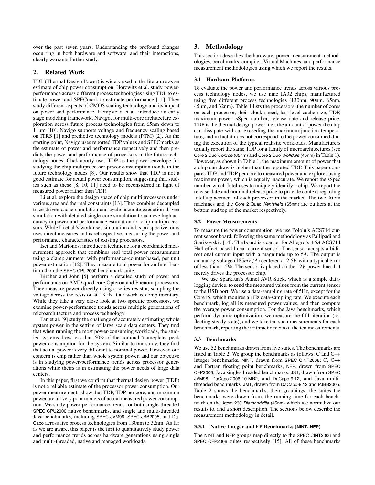over the past seven years. Understanding the profound changes occurring in both hardware and software, and their interactions, clearly warrants further study.

## 2. Related Work

TDP (Thermal Design Power) is widely used in the literature as an estimate of chip power consumption. Horowitz et al. study powerperformance across different process technologies using TDP to estimate power and SPECmark to estimate performance [11]. They study different aspects of CMOS scaling technology and its impact on power and performance. Hempstead et al. introduce an early stage modeling framework, Navigo, for multi-core architecture exploration across future process technologies from 65nm down to 11nm [10]. Navigo supports voltage and frequency scaling based on ITRS [1] and predictive technology models (PTM) [2]. As the starting point, Navigo uses reported TDP values and SPECmarks as the estimate of power and performance respectively and then predicts the power and performance of processors in the future technology nodes. Chakraborty uses TDP as the power envelope for studying the chip multiprocessor power consumption trends in the future technology nodes [8]. Our results show that TDP is not a good estimate for actual power consumption, suggesting that studies such as these [8, 10, 11] need to be reconsidered in light of measured power rather than TDP.

Li et al. explore the design space of chip multiprocessors under various area and thermal constraints [13]. They combine decoupled trace-driven cache simulation and cycle-accurate execution-driven simulation with detailed single-core simulation to achieve high accuracy in power and performance estimation for chip multiprocessors. While Li et al.'s work uses simulation and is prospective, ours uses direct measures and is retrospective, measuring the power and performance characteristics of existing processors.

Isci and Martonosi introduce a technique for a coordinated measurement approach that combines real total power measurement using a clamp ammeter with performance-counter-based, per unit power estimation [12]. They measure total power for an Intel Pentium 4 on the SPEC CPU2000 benchmark suite.

Bircher and John [5] perform a detailed study of power and performance on AMD quad core Opteron and Phenom processors. They measure power directly using a series resistor, sampling the voltage across the resistor at 1KHz. Our work is complimentary. While they take a very close look at two specific processors, we examine power-performance trends across multiple generations of microarchitecture and process technology.

Fan et al. [9] study the challenge of accurately estimating whole system power in the setting of large scale data centers. They find that when running the most power-consuming workloads, the studied systems drew less than 60% of the nominal 'nameplate' peak power consumption for the system. Similar to our study, they find that actual power is very different to nominal power. However, our concern is chip rather than whole system power, and our objective is in studying power-performance trends across processor generations while theirs is in estimating the power needs of large data centers.

In this paper, first we confirm that thermal design power (TDP) is not a reliable estimate of the processor power consumption. Our power measurements show that TDP, TDP per core, and maximum power are all very poor models of actual measured power consumption. We study power-performance trends for both single-threaded SPEC CPU2006 native benchmarks, and single and multi-threaded Java benchmarks, including SPEC JVM98, SPEC JBB2005, and Da-Capo across five process technologies from 130nm to 32nm. As far as we are aware, this paper is the first to quantitatively study power and performance trends across hardware generations using single and multi-threaded, native and managed workloads.

## 3. Methodology

This section describes the hardware, power measurement methodologies, benchmarks, compiler, Virtual Machines, and performance measurement methodologies using which we report the results.

### 3.1 Hardware Platforms

To evaluate the power and performance trends across various process technology nodes, we use nine IA32 chips, manufactured using five different process technologies (130nm, 90nm, 65nm, 45nm, and 32nm). Table 1 lists the processors, the number of cores on each processor, their clock speed, last level cache size, TDP, maximum power, sSpec number, release date and release price. TDP is the thermal design power, i.e., the amount of power the chip can dissipate without exceeding the maximum junction temperature, and in fact it does not correspond to the power consumed during the execution of the typical realistic workloads. Manufacturers usually report the same TDP for a family of microarchitectures (see Core 2 Duo *Conroe* (65nm) and Core 2 Duo *Wolfdale* (45nm) in Table 1). However, as shown in Table 1, the maximum amount of power that a chip can draw is higher than the reported TDP. This paper compares TDP and TDP per core to measured power and explores using maximum power, which is equally inaccurate. We report the sSpec number which Intel uses to uniquely identify a chip. We report the release date and nominal release price to provide context regarding Intel's placement of each processor in the market. The two Atom machines and the Core 2 Quad *Kentsfield* (65nm) are outliers at the bottom and top of the market respectively.

#### 3.2 Power Measurements

To measure the power consumption, we use Pololu's ACS714 current sensor board, following the same methodology as Pallipadi and Starikovskiy [14]. The board is a carrier for Allegro's ±5*A* ACS714 Hall effect-based linear current sensor. The sensor accepts a bidirectional current input with a magnitude up to 5*A*. The output is an analog voltage (185*mV*/*A*) centered at 2.5*V* with a typical error of less than 1.5%. The sensor is placed on the 12*V* power line that merely drives the processor chip.

We use Sparkfun's Atmel AVR Stick, which is a simple datalogging device, to send the measured values from the current sensor to the USB port. We use a data-sampling rate of 5Hz, except for the Core i5, which requires a 1Hz data-sampling rate. We execute each benchmark, log all its measured power values, and then compute the average power consumption. For the Java benchmarks, which perform dynamic optimization, we measure the fifth iteration (reflecting steady state), and we take ten such measurements for each benchmark, reporting the arithmetic mean of the ten measurements.

### 3.3 Benchmarks

We use 52 benchmarks drawn from five suites. The benchmarks are listed in Table 2. We group the benchmarks as follows: C and C++ integer benchmarks, NINT, drawn from SPEC CINT2006; C, C++ and Fortran floating point benchmarks, NFP, drawn from SPEC CFP2006; Java single-threaded benchmarks, JST, drawn from SPEC JVM98, DaCapo-2006-10-MR2, and DaCapo-9.12; and Java multithreaded benchmarks, JMT, drawn from DaCapo-9.12 and PJBB2005. Table 2 shows the benchmarks, their groupings, the suites the benchmarks were drawn from, the running time for each benchmark on the Atom 230 *Diamondville* (45nm) which we normalize our results to, and a short description. The sections below describe the measurement methodology in detail.

## 3.3.1 Native Integer and FP Benchmarks (**NINT**, **NFP**)

The NINT and NFP groups map directly to the SPEC CINT2006 and SPEC CFP2006 suites respectively [15]. All of these benchmarks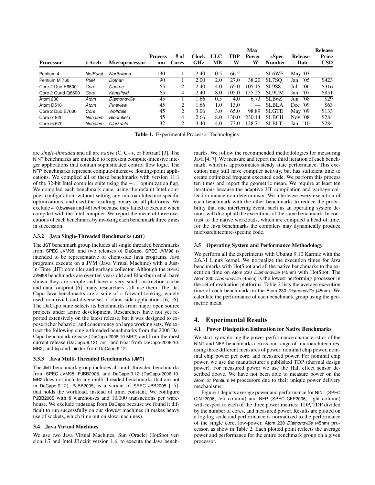|                   |                 |                | <b>Process</b> | # of         | Clock      | LLC | TDP   | <b>Max</b><br><b>Power</b> | sSpec         | <b>Release</b>       | <b>Release</b><br>Price |
|-------------------|-----------------|----------------|----------------|--------------|------------|-----|-------|----------------------------|---------------|----------------------|-------------------------|
| <b>Processor</b>  | $\mu$ Arch      | Microprocessor | nm             | <b>Cores</b> | <b>GHz</b> | MВ  | W     | W                          | <b>Number</b> | Date                 | <b>USD</b>              |
| Pentium 4         | <b>NetBurst</b> | Northwood      | 130            |              | 2.40       | 0.5 | 66.2  |                            | <b>SL6WF</b>  | May $'03$            |                         |
| Pentium M 760     | P6M             | Dothan         | 90             |              | 2.00       | 2.0 | 27.0  | 38.20                      | SL7SO         | 05'<br>Jan           | \$423                   |
| Core 2 Duo E6600  | Core            | Conroe         | 65             | 2            | 2.40       | 4.0 | 65.0  | 105.15                     | <b>SL9S8</b>  | '06<br>Jul           | \$316                   |
| Core 2 Quad Q6600 | Core            | Kentsfield     | 65             | 4            | 2.40       | 8.0 | 105.0 | 155.25                     | <b>SL9UM</b>  | '07<br>Jan           | \$851                   |
| Atom 230          | Atom            | Diamondville   | 45             |              | 1.66       | 0.5 | 4.0   | 6.73                       | SLB6Z         | '08<br>Jun           | \$29                    |
| Atom D510         | Atom            | Pineview       | 45             | 2            | 1.66       | 1.0 | 13.0  | $\qquad \qquad$            | <b>SLBLA</b>  | Dec $'09$            | \$63                    |
| Core 2 Duo E7600  | Core            | Wolfdale       | 45             | 2            | 3.06       | 3.0 | 65.0  | 98.89                      | <b>SLGTD</b>  | May '09              | \$133                   |
| Core i7 920       | Nehalem         | Bloomfield     | 45             | 4            | 2.66       | 8.0 | 130.0 | 230.14                     | <b>SLBCH</b>  | Nov '08              | \$284                   |
| Core i5 670       | Nehalem         | Clarkdale      | 32             | 2            | 3.40       | 4.0 | 73.0  | 128.71                     | <b>SLBLT</b>  | $^{\prime}10$<br>Jan | \$284                   |

Table 1. Experimental Processor Technologies

are *single-threaded* and all are *native* (C, C++, or Fortran) [3]. The NINT benchmarks are intended to represent compute-intensive integer applications that contain sophisticated control flow logic. The NFP benchmarks represent compute-intensive floating-point applications. We complied all of these benchmarks with version 11.1 of the 32-bit Intel compiler suite using the  $-\circ$ 3 optimization flag. We compiled each benchmark once, using the default Intel compiler configuration, without setting any microarchitecture-specific optimizations, and used the resulting binary on all platforms. We exclude 410.bwaves and 481.wrf because they failed to execute when compiled with the Intel compiler. We report the mean of three executions of each benchmark by invoking each benchmark three times in succession.

#### 3.3.2 Java Single-Threaded Benchmarks (**JST**)

The JST benchmark group includes all single threaded benchmarks from SPEC JVM98, and two releases of DaCapo. SPEC JVM98 is intended to be representative of client-side Java programs. Java programs execute on a JVM (Java Virtual Machine) with a Just-In-Time (JIT) compiler and garbage collector. Although the SPEC JVM98 benchmarks are over ten years old and Blackburn et al. have shown they are simple and have a very small instruction cache and data footprint [6], many researchers still use them. The Da-Capo Java benchmarks are a suite of a forward-looking, widely used, nontrivial, and diverse set of client-side applications [6, 16]. The DaCapo suite selects its benchmarks from major open source projects under active development. Researchers have not yet reported extensively on the latest release, but it was designed to expose richer behavior and concurrency on large working sets. We extract the following single-threaded benchmarks from the 2006 Da-Capo benchmark release (DaCapo-2006-10-MR2) and from the most current release (DaCapo-9.12): antlr and bloat from DaCapo-2006-10- MR2; and fop and luindex from DaCapo-9.12.

#### 3.3.3 Java Multi-Threaded Benchmarks (**JMT**)

The JMT benchmark group includes all multi-threaded benchmarks from SPEC JVM98, PJBB2005, and DaCapo-9.12 (DaCapo-2006-10- MR2 does not include any multi-threaded benchmarks that are not in DaCapo-9.12). PJBB2005, is a variant of SPEC JBB2005 [15], that holds the workload, instead of time, constant. We configure PJBB2005 with 8 warehouses and 10,000 transactions per warehouse. We exclude tradesoap from DaCapo because we found it difficult to run successfully on our slowest machines (it makes heavy use of sockets, which time out on slow machines).

#### 3.4 Java Virtual Machines

We use two Java Virtual Machines, Sun (Oracle) HotSpot version 1.7 and Intel JRockit version 1.6, to execute the Java benchmarks. We follow the recommended methodologies for measuring Java [4, 7]. We measure and report the third iteration of each benchmark, which is approximates steady state performance. This execution may still have compiler activity, but has sufficient time to create optimized frequent executed code. We perform this process ten times and report the geometric mean. We require at least ten iterations because the adaptive JIT compilation and garbage collection induce non-determinism. We interleave every execution of each benchmark with the other benchmarks to reduce the probability that one interfering event, such as an operating system demon, will disrupt all the executions of the same benchmark. In contrast to the native workloads, which are compiled a head of time, for the Java benchmarks the compilers may dynamically produce microarchitecture-specific code.

#### 3.5 Operating System and Performance Methodology

We perform all the experiments with Ubuntu 9.10 Karmic with the 2.6.31 Linux kernel. We normalize the execution times for Java benchmarks with HotSpot and all the native benchmarks to the execution time on Atom 230 *Diamondville* (45nm) with HotSpot. The Atom 230 *Diamondville* (45nm) is the lowest performing processor in the set of evaluation platforms. Table 2 lists the average execution time of each benchmark on the Atom 230 *Diamondville* (45nm). We calculate the performance of each benchmark group using the geometric mean.

## 4. Experimental Results

#### 4.1 Power Dissipation Estimation for Native Benchmarks

We start by exploring the power-performance characteristics of the NINT and NFP benchmarks across our range of microarchitectures, using three different measures of power: nominal chip power, nominal chip power per core, and measured power. For nominal chip power, we use the manufacturer's published TDP (thermal design power). For measured power we use the Hall effect sensor described above. We have not been able to measure power on the Atom or Pentium M processors due to their unique power delivery mechanisms.

Figure 1 depicts average power and performance for NINT (SPEC CINT2006, left column) and NFP (SPEC CFP2006, right column) with respect to each of the three power metrics: TDP, TDP divided by the number of cores, and measured power. Results are plotted on a log-log scale and performance is normalized to the performance of the single core, low-power, Atom 230 *Diamondville* (45nm) processor, as show in Table 2. Each plotted point reflects the average power and performance for the entire benchmark group on a given processor.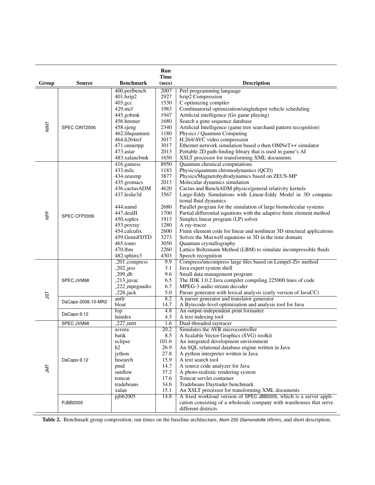|                |                    |                            | Run<br><b>Time</b> |                                                                                                             |  |
|----------------|--------------------|----------------------------|--------------------|-------------------------------------------------------------------------------------------------------------|--|
| Group          | <b>Source</b>      | <b>Benchmark</b>           | (secs)             | <b>Description</b>                                                                                          |  |
|                |                    | 400.perlbench              | 2007               | Perl programming language                                                                                   |  |
|                | SPEC CINT2006      | 401.bzip2                  | 2927               | bzip2 Compression                                                                                           |  |
|                |                    | 403.gcc                    | 1530               | C optimizing compiler                                                                                       |  |
|                |                    | 429.mcf                    | 1983               | Combinatorial optimization/singledepot vehicle scheduling                                                   |  |
| <b>NINT</b>    |                    | 445.gobmk                  | 1947               | Artificial intelligence (Go game playing)                                                                   |  |
|                |                    | 456.hmmer                  | 1680               | Search a gene sequence database                                                                             |  |
|                |                    | 458.sjeng                  | 2340               | Artificial Intelligence (game tree searchand pattern recognition)                                           |  |
|                |                    | 462.libquantum             | 1180               | Physics / Quantum Computing                                                                                 |  |
|                |                    | 464.h264ref                | 3017<br>3017       | H.264/AVC video compression<br>Ethernet network simulation based o then OMNeT++ simulator                   |  |
|                |                    | 471.omnetpp<br>473.astar   | 2013               |                                                                                                             |  |
|                |                    | 483.xalancbmk              | 1650               | Portable 2D path-finding library that is used in game's AI<br>XSLT processor for transforming XML documents |  |
|                |                    | 416.gamess                 | 8950               | Quantum chemical computations                                                                               |  |
|                |                    | 433.milc                   | 1183               | Physics/quantum chromodynamics (QCD)                                                                        |  |
|                |                    | 434.zeusmp                 | 3877               | Physics/Magnetohydrodynamics based on ZEUS-MP                                                               |  |
|                |                    | 435.gromacs                | 2013               | Molecular dynamics simulation                                                                               |  |
|                |                    | 436.cactusADM              | 4620               | Cactus and BenchADM physics/general relativity kernels                                                      |  |
|                |                    | 437.leslie3d               | 3567               | Large-Eddy Simulations with Linear-Eddy Model in 3D computa-                                                |  |
|                | SPEC CFP2006       |                            |                    | tional fluid dynamics                                                                                       |  |
|                |                    | 444.namd                   | 2680               | Parallel program for the simulation of large biomolecular systems                                           |  |
| <b>DHP</b>     |                    | 447.dealII                 | 1700               | Partial differential equations with the adaptive finite element method                                      |  |
|                |                    | 450.soplex                 | 1913               | Simplex linear program (LP) solver                                                                          |  |
|                |                    | 453.povray                 | 1280               | A ray-tracer                                                                                                |  |
|                |                    | 454.calculix               | 2600               | Finite element code for linear and nonlinear 3D structural applications                                     |  |
|                |                    | 459.GemsFDTD               | 3273               | Solves the Maxwell equations in 3D in the time domain                                                       |  |
|                |                    | 465.tonto                  | 3050               | Quantum crystallography                                                                                     |  |
|                |                    | 470.1bm                    | 2260               | Lattice Boltzmann Method (LBM) to simulate incompressible fluids                                            |  |
|                |                    | 482.sphinx3                | 4303               | Speech recognition                                                                                          |  |
|                |                    | $-201$ <sub>compress</sub> | 9.9                | Compress/uncompress large files based on Lempel-Ziv method                                                  |  |
|                |                    | $-202$ -jess               | 3.1                | Java expert system shell                                                                                    |  |
|                | SPEC JVM98         | $-209$ <sup>-db</sup>      | 9.6                | Small data management program                                                                               |  |
|                |                    | $-213$ <sub>-</sub> javac  | 6.5                | The JDK 1.0.2 Java compiler compiling 225000 lines of code                                                  |  |
| JST            |                    | _222_mpegaudio             | 6.7                | MPEG-3 audio stream decoder                                                                                 |  |
|                |                    | $-228$ -jack               | 5.0                | Parser generator with lexical analysis (early version of JavaCC)                                            |  |
|                | DaCapo-2006-10-MR2 | antlr                      | 8.2                | A parser generator and translator generator                                                                 |  |
|                |                    | bloat                      | 14.7               | A Bytecode-level optimization and analysis tool for Java                                                    |  |
|                | DaCapo-9.12        | fop<br>luindex             | 4.8<br>4.3         | An output-independent print formatter<br>A text indexing tool                                               |  |
|                |                    | $-227$ -mtrt               | 1.6                | Dual-threaded raytracer                                                                                     |  |
| $\overline{M}$ | SPEC JVM98         | avrora                     | 20.2               | Simulates the AVR microcontroller                                                                           |  |
|                | DaCapo-9.12        | batik                      | 8.5                | A Scalable Vector Graphics (SVG) toolkit                                                                    |  |
|                |                    | eclipse                    | 101.6              | An integrated development environment                                                                       |  |
|                |                    | h2                         | 26.9               | An SQL relational database engine written in Java                                                           |  |
|                |                    | jython                     | 27.8               | A python interpreter written in Java                                                                        |  |
|                |                    | lusearch                   | 15.9               | A text search tool                                                                                          |  |
|                |                    | pmd                        | 14.7               | A source code analyzer for Java                                                                             |  |
|                |                    | sunflow                    | 37.2               | A photo-realistic rendering system                                                                          |  |
|                |                    | tomcat                     | 17.6               | Tomcat servlet container                                                                                    |  |
|                |                    | tradebeans                 | 34.6               | Tradebeans Daytrader benchmark                                                                              |  |
|                |                    | xalan                      | 15.1               | An XSLT processor for transforming XML documents                                                            |  |
|                |                    | pibb2005                   | 14.8               | A fixed workload version of SPEC JBB2005, which is a server appli-                                          |  |
|                | PJBB2005           |                            |                    | cation consisting of a wholesale company with warehouses that serve                                         |  |
|                |                    |                            |                    | different districts                                                                                         |  |

Table 2. Benchmark group composition, run times on the baseline architecture, Atom 230 *Diamondville* (45nm), and short description.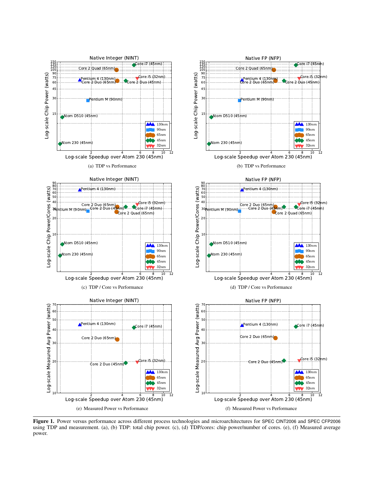

Figure 1. Power versus performance across different process technologies and microarchitectures for SPEC CINT2006 and SPEC CFP2006 using TDP and measurement. (a), (b) TDP: total chip power. (c), (d) TDP/cores: chip power/number of cores. (e), (f) Measured average power.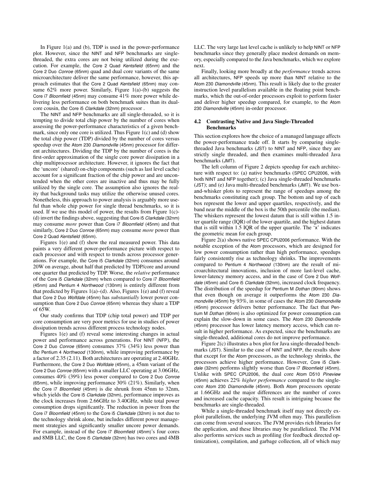In Figure 1(a) and (b), TDP is used in the power-performance plot. However, since the NINT and NFP benchmarks are singlethreaded, the extra cores are not being utilized during the execution. For example, the Core 2 Quad *Kentsfield* (65nm) and the Core 2 Duo *Conroe* (65nm) quad and dual core variants of the same microarchitecture deliver the same performance, however, this approach estimates that the Core 2 Quad *Kentsfield* (65nm) may consume 62% more power. Similarly, Figure 1(a)-(b) suggests the Core i7 *Bloomfield* (45nm) may consume 41% more power while delivering less performance on both benchmark suites than its dualcore cousin, the Core i5 *Clarkdale* (32nm) processor .

The NINT and NFP benchmarks are all single-threaded, so it is tempting to divide total chip power by the number of cores when assessing the power-performance characteristics of a given benchmark, since only one core is utilized. Thus Figure 1(c) and (d) show the total chip power (TDP) divided by the number of cores versus speedup over the Atom 230 *Diamondville* (45nm) processor for different architectures. Dividing the TDP by the number of cores is the first-order approximation of the single core power dissipation in a chip multiprocessor architecture. However, it ignores the fact that the 'uncore' (shared) on-chip components (such as last level cache) account for a significant fraction of the chip power and are uncontended when the other cores are inactive and thus may be fully utilized by the single core. The assumption also ignores the reality that background tasks may utilize the otherwise unused cores. Nonetheless, this approach to power analysis is arguably more useful than whole chip power for single thread benchmarks, so it is used. If we use this model of power, the results from Figure 1(c)- (d) invert the findings above, suggesting that Core i5 *Clarkdale* (32nm) may consume *more* power than Core i7 *Bloomfield* (45nm) and that similarly, Core 2 Duo *Conroe* (65nm) may consume *more* power than Core 2 Quad *Kentsfield* (65nm).

Figures 1(e) and (f) show the real measured power. This data paints a very different power-performance picture with respect to each processor and with respect to trends across processor generations. For example, the Core i5 *Clarkdale* (32nm) consumes around 20W on average, about half that predicted by TDP/core and around one quarter that predicted by TDP. Worse, the *relative* performance of the Core i5 *Clarkdale* (32nm) when compared to Core i7 *Bloomfield* (45nm) and Pentium 4 *Northwood* (130nm) is entirely different from that predicted by Figures  $1(a)$ –(d). Also, Figures  $1(e)$  and (f) reveal that Core 2 Duo *Wolfdale* (45nm) has *substantially* lower power consumption than Core 2 Duo *Conroe* (65nm) whereas they share a TDP of 65W.

Our study confirms that TDP (chip total power) and TDP per core consumption are very poor metrics for use in studies of power dissipation trends across different process technology nodes.

Figures 1(e) and (f) reveal some interesting changes in actual power and performance across generations. For NINT (NFP), the Core 2 Duo *Conroe* (65nm) consumes 37% (34%) less power than the Pentium 4 *Northwood* (130nm), while improving performance by a factor of 2.35 (2.11). Both architectures are operating at 2.40GHz. Furthermore, the Core 2 Duo *Wolfdale* (45nm), a 45nm variant of the Core 2 Duo *Conroe* (65nm) with a smaller LLC operating at 3.06GHz, consumes 40% (39%) less power compared to Core 2 Duo *Conroe* (65nm), while improving performance 30% (21%). Similarly, when the Core i7 *Bloomfield* (45nm) is die shrunk from 45nm to 32nm, which yields the Core i5 *Clarkdale* (32nm), performance improves as the clock increases from 2.66GHz to 3.40GHz, while total power consumption drops significantly. The reduction in power from the Core i7 *Bloomfield* (45nm) to the Core i5 *Clarkdale* (32nm) is not due to the technology shrink alone, but includes different power management strategies and significantly smaller uncore power demands. For example, instead of the Core i7 *Bloomfield* (45nm)'s four cores and 8MB LLC, the Core i5 *Clarkdale* (32nm) has two cores and 4MB LLC. The very large last level cache is unlikely to help NINT or NFP benchmarks since they generally place modest demands on memory, especially compared to the Java benchmarks, which we explore next.

Finally, looking more broadly at the *performance* trends across all architectures, NFP speeds up more than NINT relative to the Atom 230 *Diamondville* (45nm). This result is likely due to the greater instruction level parallelism available in the floating point benchmarks, which the out-of-order processors exploit to perform faster and deliver higher speedup compared, for example, to the Atom 230 *Diamondville* (45nm) in-order processor.

#### 4.2 Contrasting Native and Java Single-Threaded Benchmarks

This section explores how the choice of a managed language affects the power-performance trade off. It starts by comparing singlethreaded Java benchmarks (JST) to NINT and NFP, since they are strictly single threaded, and then examines multi-threaded Java benchmarks (JMT).

The left column of Figure 2 depicts speedup for each architecture with respect to: (a) native benchmarks (SPEC CPU2006, with both NINT and NFP together); (c) Java single-threaded benchmarks (JST); and (e) Java multi-threaded benchmarks (JMT). We use boxand-whisker plots to represent the range of speedups among the benchmarks constituting each group. The bottom and top of each box represent the lower and upper quartiles, respectively, and the band near the middle of the box is the 50th percentile (the median). The whiskers represent the lowest datum that is still within 1.5 inter quartile range (IQR) of the lower quartile, and the highest datum that is still within 1.5 IQR of the upper quartile. The 'x' indicates the geometric mean for each group.

Figure 2(a) shows native SPEC CPU2006 performance. With the notable exception of the Atom processors, which are designed for low power consumption rather than high performance, speedups fairly consistently rise as technology shrinks. The improvements compared to Pentium 4 *Northwood* (130nm) are the result of microarchitectural innovations, inclusion of more last-level cache, lower-latency memory access, and in the case of Core 2 Duo *Wolfdale* (45nm) and Core i5 *Clarkdale* (32nm), increased clock frequency. The distribution of the speedup for Pentium M *Dothan* (90nm) shows that even though on average it outperforms the Atom 230 *Diamondville* (45nm) by 93%, in some of cases the Atom 230 *Diamondville* (45nm) processor delivers better performance. The fact that Pentium M *Dothan* (90nm) is also optimized for power consumption can explain the slow-down in some cases. The Atom 230 *Diamondville* (45nm) processor has lower latency memory access, which can result in higher performance. As expected, since the benchmarks are single-threaded, additional cores do not improve performance.

Figure 2(c) illustrates a box plot for Java single-threaded benchmarks (JST). Similar to the case of NINT and NFP, the results show that except for the Atom processors, as the technology shrinks, the processors achieve higher performance. However, Core i5 *Clarkdale* (32nm) performs slightly worse than Core i7 *Bloomfield* (45nm). Unlike with SPEC CPU2006, the dual core Atom D510 *Pineview* (45nm) achieves 22% *higher performance* compared to the singlecore Atom 230 *Diamondville* (45nm). Both Atom processors operate at 1.66GHz and the major differences are the number of cores and increased cache capacity. This result is intriguing because the benchmarks are single-threaded.

While a single-threaded benchmark itself may not directly exploit parallelism, the underlying JVM often may. This parallelism can come from several sources. The JVM provides rich libraries for the application, and these libraries may be parallelized. The JVM also performs services such as profiling (for feedback directed optimization), compilation, and garbage collection, all of which may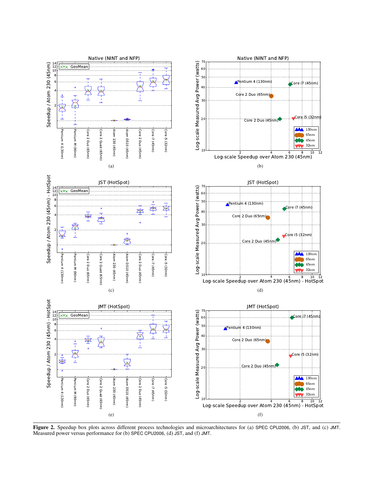

Figure 2. Speedup box plots across different process technologies and microarchitectures for (a) SPEC CPU2006, (b) JST, and (c) JMT. Measured power versus performance for (b) SPEC CPU2006, (d) JST, and (f) JMT.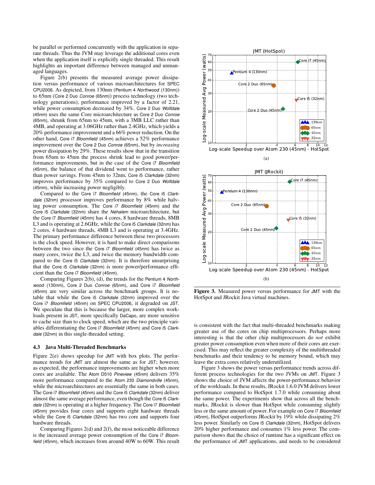be parallel or performed concurrently with the application in separate threads. Thus the JVM may leverage the additional cores even when the application itself is explicitly single threaded. This result highlights an important difference between managed and unmanaged languages.

Figure 2(b) presents the measured average power dissipation versus performance of various microarchitectures for SPEC CPU2006. As depicted, from 130nm (Pentium 4 *Northwood* (130nm)) to 65nm (Core 2 Duo *Conroe* (65nm)) process technology (two technology generations), performance improved by a factor of 2.21, while power consumption decreased by 34%. Core 2 Duo *Wolfdale* (45nm) uses the same Core microarchitecture as Core 2 Duo *Conroe* (65nm), shrunk from 65nm to 45nm, with a 3MB LLC rather than 4MB, and operating at 3.06GHz rather than 2.4GHz, which yields a 20% performance improvement and a 66% power reduction. On the other hand, Core i7 *Bloomfield* (45nm) achieves a 52% performance improvement over the Core 2 Duo *Conroe* (65nm), but by *increasing* power dissipation by 29%. These results show that in the transition from 65nm to 45nm the process shrink lead to good power/performance improvements, but in the case of the Core i7 *Bloomfield* (45nm), the balance of that dividend went to performance, rather than power savings. From 45nm to 32nm, Core i5 *Clarkdale* (32nm) improves performance by 35% compared to Core 2 Duo *Wolfdale* (45nm), while increasing power negligibly.

Compared to the Core i7 *Bloomfield* (45nm), the Core i5 *Clarkdale* (32nm) processor improves performance by 8% while halving power consumption. The Core i7 *Bloomfield* (45nm) and the Core i5 *Clarkdale* (32nm) share the *Nehalem* microarchitecture, but the Core i7 *Bloomfield* (45nm) has 4 cores, 8 hardware threads, 8MB L3 and is operating at 2.6GHz, while the Core i5 *Clarkdale* (32nm) has 2 cores, 4 hardware threads, 4MB L3 and is operating at 3.4GHz. The primary performance difference between these two processors is the clock speed. However, it is hard to make direct comparisons between the two since the Core i7 *Bloomfield* (45nm) has twice as many cores, twice the L3, and twice the memory bandwidth compared to the Core i5 *Clarkdale* (32nm). It is therefore unsurprising that the Core i5 *Clarkdale* (32nm) is more power/performance efficient than the Core i7 *Bloomfield* (45nm).

Comparing Figures 2(b), (d), the trends for the Pentium 4 *Northwood* (130nm), Core 2 Duo *Conroe* (65nm), and Core i7 *Bloomfield* (45nm) are very similar across the benchmark groups. It is notable that while the Core i5 *Clarkdale* (32nm) improved over the Core i7 *Bloomfield* (45nm) on SPEC CPU2006, it degraded on JST. We speculate that this is because the larger, more complex workloads present in JST, more specifically DaCapo, are more sensitive to cache size than to clock speed, which are the two principle variables differentiating the Core i7 *Bloomfield* (45nm) and Core i5 *Clarkdale* (32nm) in this single-threaded setting.

#### 4.3 Java Multi-Threaded Benchmarks

Figure 2(e) shows speedup for JMT with box plots. The performance trends for JMT are almost the same as for JST; however, as expected, the performance improvements are higher when more cores are available. The Atom D510 *Pineview* (45nm) delivers 35% more performance compared to the Atom 230 *Diamondville* (45nm), while the microarchitectures are essentially the same in both cases. The Core i7 *Bloomfield* (45nm) and the Core i5 *Clarkdale* (32nm) deliver almost the same average performance, even though the Core i5 *Clarkdale* (32nm) is operating at a higher frequency. The Core i7 *Bloomfield* (45nm) provides four cores and supports eight hardware threads while the Core i5 *Clarkdale* (32nm) has two core and supports four hardware threads.

Comparing Figures 2(d) and 2(f), the most noticeable difference is the increased average power consumption of the Core i7 *Bloomfield* (45nm), which increases from around 40W to 60W. This result



Figure 3. Measured power versus performance for JMT with the HotSpot and JRockit Java virtual machines.

is consistent with the fact that multi-threaded benchmarks making greater use of the cores on chip multiprocessors. Perhaps more interesting is that the other chip multiprocessors do *not* exhibit greater power consumption even when more of their cores are exercised. This may reflect the greater complexity of the multithreaded benchmarks and their tendency to be memory bound, which may leave the extra cores relatively underutilized.

Figure 3 shows the power versus performance trends across different process technologies for the two JVMs on JMT. Figure 3 shows the choice of JVM affects the power-performance behavior of the workloads. In these results, JRockit 1.6.0 JVM delivers lower performance compared to HotSpot 1.7.0 while consuming about the same power. The experiments show that across all the benchmarks, JRockit is slower than HotSpot while consuming slightly less or the same amount of power. For example on Core i7 *Bloomfield* (45nm), HotSpot outperforms JRockit by 19% while dissipating 2% less power. Similarly on Core i5 *Clarkdale* (32nm), HotSpot delivers 20% higher performance and consumes 1% less power. The comparison shows that the choice of runtime has a significant effect on the performance of JMT applications, and needs to be considered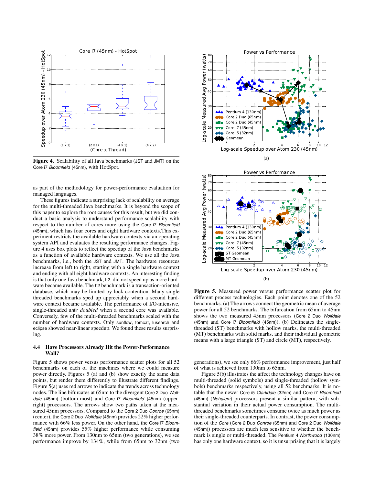

Figure 4. Scalability of all Java benchmarks (JST and JMT) on the Core i7 *Bloomfield* (45nm), with HotSpot.

as part of the methodology for power-performance evaluation for managed languages.

These figures indicate a surprising lack of scalability on average for the multi-threaded Java benchmarks. It is beyond the scope of this paper to explore the root causes for this result, but we did conduct a basic analysis to understand performance scalability with respect to the number of cores more using the Core i7 *Bloomfield* (45nm), which has four cores and eight hardware contexts.This experiment restricts the available hardware contexts via an operating system API and evaluates the resulting performance changes. Figure 4 uses box plots to reflect the speedup of the Java benchmarks as a function of available hardware contexts. We use all the Java benchmarks, i.e., both the JST and JMT. The hardware resources increase from left to right, starting with a single hardware context and ending with all eight hardware contexts. An interesting finding is that only one Java benchmark, h2, did not speed up as more hardware became available. The h2 benchmark is a transaction-oriented database, which may be limited by lock contention. Many single threaded benchmarks sped up appreciably when a second hardware context became available. The performance of I/O-intensive, single-threaded antlr *doubled* when a second core was available. Conversely, few of the multi-threaded benchmarks scaled with the number of hardware contexts. Only sunflow, tomcat, lusearch and eclipse showed near-linear speedup. We found these results surprising.

#### 4.4 Have Processors Already Hit the Power-Performance Wall?

Figure 5 shows power versus performance scatter plots for all 52 benchmarks on each of the machines where we could measure power directly. Figures 5 (a) and (b) show exactly the same data points, but render them differently to illustrate different findings. Figure 5(a) uses red arrows to indicate the trends across technology nodes. The line bifurcates at 65nm to the divergent Core 2 Duo *Wolfdale* (45nm) (bottom-most) and Core i7 *Bloomfield* (45nm) (upperright) processors. The arrows show two paths taken at the measured 45nm processors. Compared to the Core 2 Duo *Conroe* (65nm) (center), the Core 2 Duo *Wolfdale* (45nm) provides 22% higher performance with 66% less power. On the other hand, the Core i7 *Bloomfield* (45nm) provides 55% higher performance while consuming 38% more power. From 130nm to 65nm (two generations), we see performance improve by 134%, while from 65nm to 32nm (two



Figure 5. Measured power versus performance scatter plot for different process technologies. Each point denotes one of the 52 benchmarks. (a) The arrows connect the geometric mean of average power for all 52 benchmarks. The bifurcation from 65nm to 45nm shows the two measured 45nm processors (Core 2 Duo *Wolfdale* (45nm) and Core i7 *Bloomfield* (45nm)). (b) Delineates the singlethreaded (ST) benchmarks with hollow marks, the multi-threaded (MT) benchmarks with solid marks, and their individual geometric means with a large triangle (ST) and circle (MT), respectively.

generations), we see only 66% performance improvement, just half of what is achieved from 130nm to 65nm.

Figure 5(b) illustrates the affect the technology changes have on multi-threaded (solid symbols) and single-threaded (hollow symbols) benchmarks respectively, using all 52 benchmarks. It is notable that the newer Core i5 *Clarkdale* (32nm) and Core i7 *Bloomfield* (45nm) (*Nehalem*) processors present a similar pattern, with substantial variation in their actual power consumption. The multithreaded benchmarks sometimes consume twice as much power as their single-threaded counterparts. In contrast, the power consumption of the *Core* (Core 2 Duo *Conroe* (65nm) and Core 2 Duo *Wolfdale* (45nm)) processors are much less sensitive to whether the benchmark is single or multi-threaded. The Pentium 4 *Northwood* (130nm) has only one hardware context, so it is unsurprising that it is largely